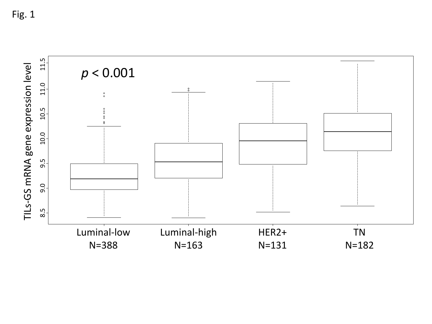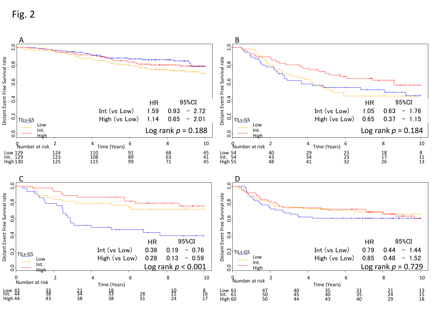Fig. 2

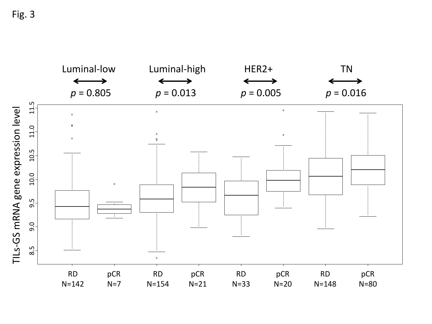Fig. 3

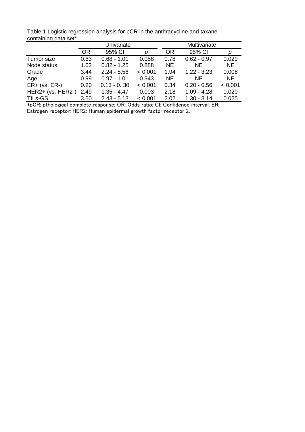Table 1 Logistic regression analysis for pCR in the anthracycline and taxane containing data set\*

|                     | Univariate |               |         | Multivariate |               |           |
|---------------------|------------|---------------|---------|--------------|---------------|-----------|
|                     | 0R         | 95% CI        | D       | <b>OR</b>    | 95% CI        | р         |
| Tumor size          | 0.83       | $0.68 - 1.01$ | 0.058   | 0.78         | $0.62 - 0.97$ | 0.029     |
| Node status         | 1.02       | $0.82 - 1.25$ | 0.888   | <b>NE</b>    | NE.           | <b>NE</b> |
| Grade               | 3.44       | $2.24 - 5.56$ | < 0.001 | 1.94         | $1.22 - 3.23$ | 0.008     |
| Age                 | 0.99       | $0.97 - 1.01$ | 0.343   | <b>NE</b>    | <b>NE</b>     | NE.       |
| $ER+ (vs. ER-)$     | 0.20       | $0.13 - 0.30$ | < 0.001 | 0.34         | $0.20 - 0.56$ | < 0.001   |
| $HER2+ (vs. HER2-)$ | 2.49       | $1.35 - 4.47$ | 0.003   | 2.18         | $1.09 - 4.28$ | 0.020     |
| TILs-GS             | 3.50       | $2.43 - 5.13$ | < 0.001 | 2.02         | $1.30 - 3.14$ | 0.025     |

\*pCR: pthological complete response; OR: Odds ratio; CI: Confidence interval; ER: Estrogen receptor; HER2: Human epidermal growth factor receptor 2.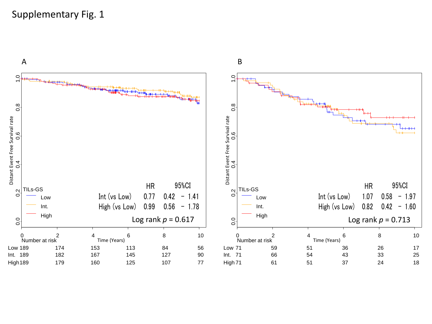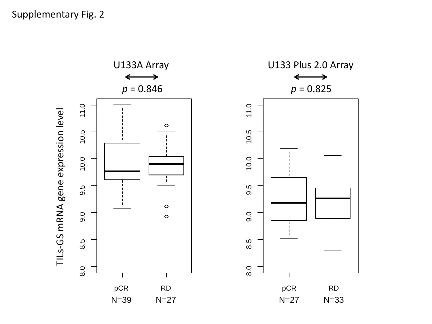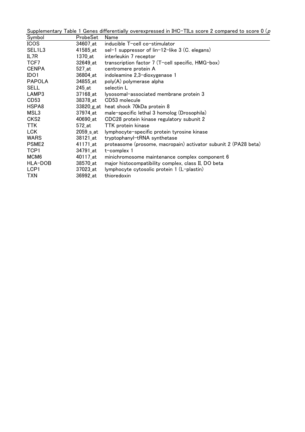Supplementary Table 1 Genes differentially overexpressed in IHC-TILs score 2 compared to score 0 ( $\rho$ 

| Symbol            | ProbeSet   | Name                                                            |
|-------------------|------------|-----------------------------------------------------------------|
| <b>ICOS</b>       | 34607_at   | inducible T-cell co-stimulator                                  |
| SEL1L3            | 41585_at   | sel-1 suppressor of lin-12-like 3 (C. elegans)                  |
| IL7R              | 1370_at    | interleukin 7 receptor                                          |
| TCF7              | 32649_at   | transcription factor 7 (T-cell specific, HMG-box)               |
| <b>CENPA</b>      | 527_at     | centromere protein A                                            |
| IDO1              | 36804_at   | indoleamine 2,3-dioxygenase 1                                   |
| <b>PAPOLA</b>     | 34855 at   | poly(A) polymerase alpha                                        |
| <b>SELL</b>       | 245_at     | selectin L                                                      |
| LAMP3             | 37168_at   | lysosomal-associated membrane protein 3                         |
| CD <sub>53</sub>  | 38378_at   | CD53 molecule                                                   |
| HSPA8             | 33820_g_at | heat shock 70kDa protein 8                                      |
| MSL3              | 37974_at   | male-specific lethal 3 homolog (Drosophila)                     |
| CKS <sub>2</sub>  | 40690_at   | CDC28 protein kinase regulatory subunit 2                       |
| TTK.              | 572_at     | TTK protein kinase                                              |
| <b>LCK</b>        | 2059_s_at  | lymphocyte-specific protein tyrosine kinase                     |
| WARS              | 38121_at   | tryptophanyl-tRNA synthetase                                    |
| PSME <sub>2</sub> | 41171_at   | proteasome (prosome, macropain) activator subunit 2 (PA28 beta) |
| TCP1              | 34791_at   | t-complex 1                                                     |
| MCM <sub>6</sub>  | 40117_at   | minichromosome maintenance complex component 6                  |
| HLA-DOB           | 38570_at   | major histocompatibility complex, class II, DO beta             |
| LCP <sub>1</sub>  | 37023_at   | lymphocyte cytosolic protein 1 (L-plastin)                      |
| TXN               | 36992_at   | thioredoxin                                                     |
|                   |            |                                                                 |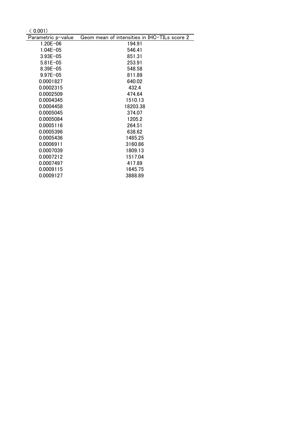$< 0.001$ )

| Parametric p-value | Geom mean of intensities in IHC-TILs score 2 |
|--------------------|----------------------------------------------|
| $1.20E - 06$       | 194.91                                       |
| $1.04E - 05$       | 546.41                                       |
| $3.93E - 05$       | 851.31                                       |
| $5.81E - 05$       | 253.91                                       |
| $8.39E - 05$       | 548.58                                       |
| $9.97E - 05$       | 811.89                                       |
| 0.0001827          | 640.02                                       |
| 0.0002315          | 432.4                                        |
| 0.0002509          | 474.64                                       |
| 0.0004345          | 1510.13                                      |
| 0.0004458          | 18203.38                                     |
| 0.0005045          | 374.07                                       |
| 0.0005084          | 1205.2                                       |
| 0.0005116          | 264.51                                       |
| 0.0005396          | 638.62                                       |
| 0.0005436          | 1485.25                                      |
| 0.0006911          | 3160.86                                      |
| 0.0007039          | 1809.13                                      |
| 0.0007212          | 1517.04                                      |
| 0.0007497          | 417.89                                       |
| 0.0009115          | 1645.75                                      |
| 0.0009127          | 3888.89                                      |